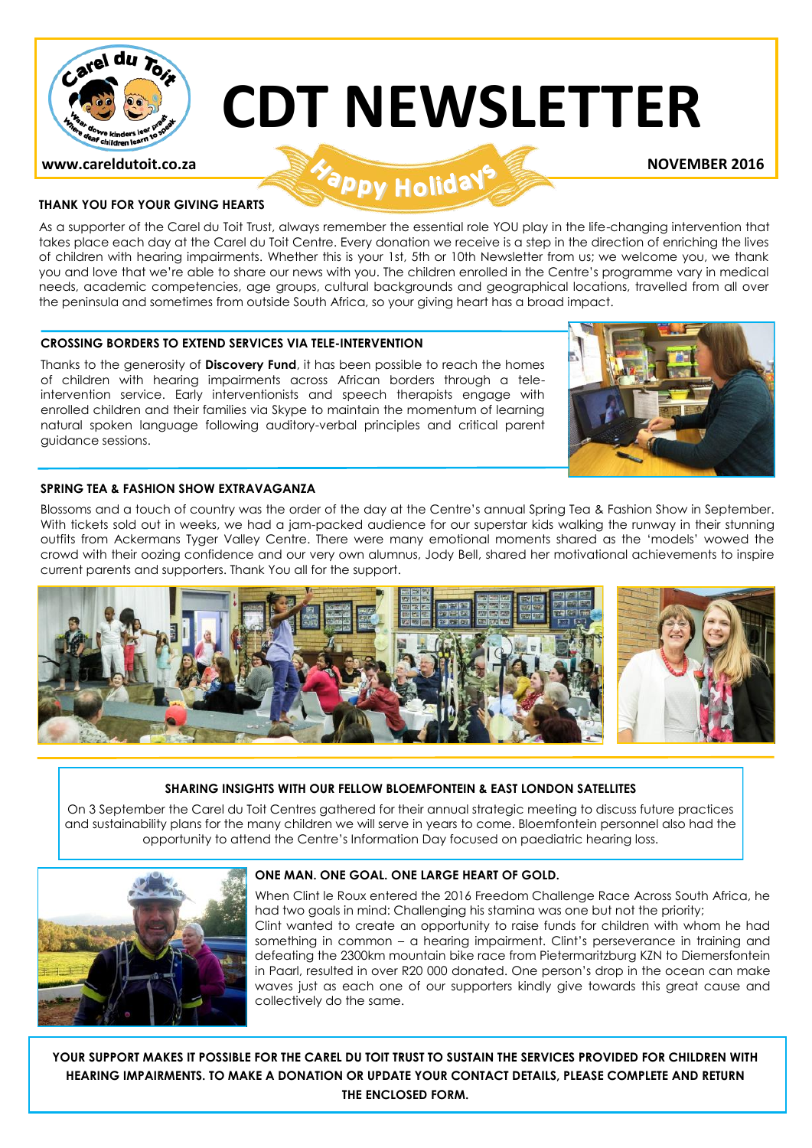

# **CDT NEWSLETTER**

### **www.careldutoit.co.za NOVEMBER 2016**

#### **THANK YOU FOR YOUR GIVING HEARTS**

As a supporter of the Carel du Toit Trust, always remember the essential role YOU play in the life-changing intervention that takes place each day at the Carel du Toit Centre. Every donation we receive is a step in the direction of enriching the lives of children with hearing impairments. Whether this is your 1st, 5th or 10th Newsletter from us; we welcome you, we thank you and love that we're able to share our news with you. The children enrolled in the Centre's programme vary in medical needs, academic competencies, age groups, cultural backgrounds and geographical locations, travelled from all over the peninsula and sometimes from outside South Africa, so your giving heart has a broad impact.

#### **CROSSING BORDERS TO EXTEND SERVICES VIA TELE-INTERVENTION**

Thanks to the generosity of **Discovery Fund**, it has been possible to reach the homes of children with hearing impairments across African borders through a teleintervention service. Early interventionists and speech therapists engage with enrolled children and their families via Skype to maintain the momentum of learning natural spoken language following auditory-verbal principles and critical parent guidance sessions.



#### **SPRING TEA & FASHION SHOW EXTRAVAGANZA**

Blossoms and a touch of country was the order of the day at the Centre's annual Spring Tea & Fashion Show in September. With tickets sold out in weeks, we had a jam-packed audience for our superstar kids walking the runway in their stunning outfits from Ackermans Tyger Valley Centre. There were many emotional moments shared as the 'models' wowed the crowd with their oozing confidence and our very own alumnus, Jody Bell, shared her motivational achievements to inspire current parents and supporters. Thank You all for the support.



#### **SHARING INSIGHTS WITH OUR FELLOW BLOEMFONTEIN & EAST LONDON SATELLITES**

On 3 September the Carel du Toit Centres gathered for their annual strategic meeting to discuss future practices and sustainability plans for the many children we will serve in years to come. Bloemfontein personnel also had the opportunity to attend the Centre's Information Day focused on paediatric hearing loss.



#### **ONE MAN. ONE GOAL. ONE LARGE HEART OF GOLD.**

When Clint le Roux entered the 2016 Freedom Challenge Race Across South Africa, he had two goals in mind: Challenging his stamina was one but not the priority; Clint wanted to create an opportunity to raise funds for children with whom he had something in common – a hearing impairment. Clint's perseverance in training and defeating the 2300km mountain bike race from Pietermaritzburg KZN to Diemersfontein in Paarl, resulted in over R20 000 donated. One person's drop in the ocean can make waves just as each one of our supporters kindly give towards this great cause and collectively do the same.

**YOUR SUPPORT MAKES IT POSSIBLE FOR THE CAREL DU TOIT TRUST TO SUSTAIN THE SERVICES PROVIDED FOR CHILDREN WITH HEARING IMPAIRMENTS. TO MAKE A DONATION OR UPDATE YOUR CONTACT DETAILS, PLEASE COMPLETE AND RETURN THE ENCLOSED FORM.**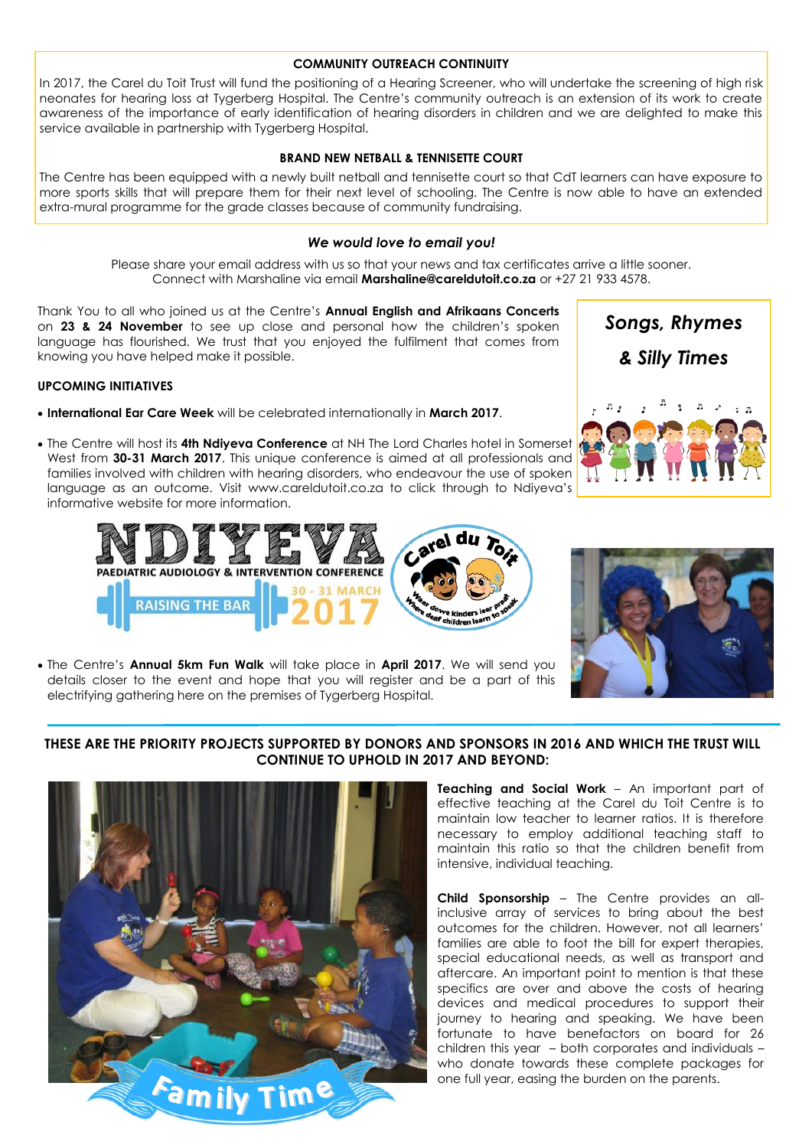#### **COMMUNITY OUTREACH CONTINUITY**

In 2017, the Carel du Toit Trust will fund the positioning of a Hearing Screener, who will undertake the screening of high risk neonates for hearing loss at Tygerberg Hospital. The Centre's community outreach is an extension of its work to create awareness of the importance of early identification of hearing disorders in children and we are delighted to make this service available in partnership with Tygerberg Hospital.

#### **BRAND NEW NETBALL & TENNISETTE COURT**

The Centre has been equipped with a newly built netball and tennisette court so that CdT learners can have exposure to more sports skills that will prepare them for their next level of schooling. The Centre is now able to have an extended extra-mural programme for the grade classes because of community fundraising.

#### *We would love to email you!*

Please share your email address with us so that your news and tax certificates arrive a little sooner. Connect with Marshaline via email **Marshaline@careldutoit.co.za** or +27 21 933 4578.

Thank You to all who joined us at the Centre's **Annual English and Afrikaans Concerts**  on **23 & 24 November** to see up close and personal how the children's spoken language has flourished. We trust that you enjoyed the fulfilment that comes from knowing you have helped make it possible.

#### **UPCOMING INITIATIVES**

- **International Ear Care Week** will be celebrated internationally in **March 2017**.
- The Centre will host its **4th Ndiyeva Conference** at NH The Lord Charles hotel in Somerset West from **30-31 March 2017**. This unique conference is aimed at all professionals and families involved with children with hearing disorders, who endeavour the use of spoken language as an outcome. Visit www.careldutoit.co.za to click through to Ndiyeva's informative website for more information.





 The Centre's **Annual 5km Fun Walk** will take place in **April 2017**. We will send you details closer to the event and hope that you will register and be a part of this electrifying gathering here on the premises of Tygerberg Hospital.

#### **THESE ARE THE PRIORITY PROJECTS SUPPORTED BY DONORS AND SPONSORS IN 2016 AND WHICH THE TRUST WILL CONTINUE TO UPHOLD IN 2017 AND BEYOND:**



**Teaching and Social Work** – An important part of effective teaching at the Carel du Toit Centre is to maintain low teacher to learner ratios. It is therefore necessary to employ additional teaching staff to maintain this ratio so that the children benefit from intensive, individual teaching.

**Child Sponsorship** – The Centre provides an allinclusive array of services to bring about the best outcomes for the children. However, not all learners' families are able to foot the bill for expert therapies, special educational needs, as well as transport and aftercare. An important point to mention is that these specifics are over and above the costs of hearing devices and medical procedures to support their journey to hearing and speaking. We have been fortunate to have benefactors on board for 26 children this year – both corporates and individuals – who donate towards these complete packages for one full year, easing the burden on the parents.

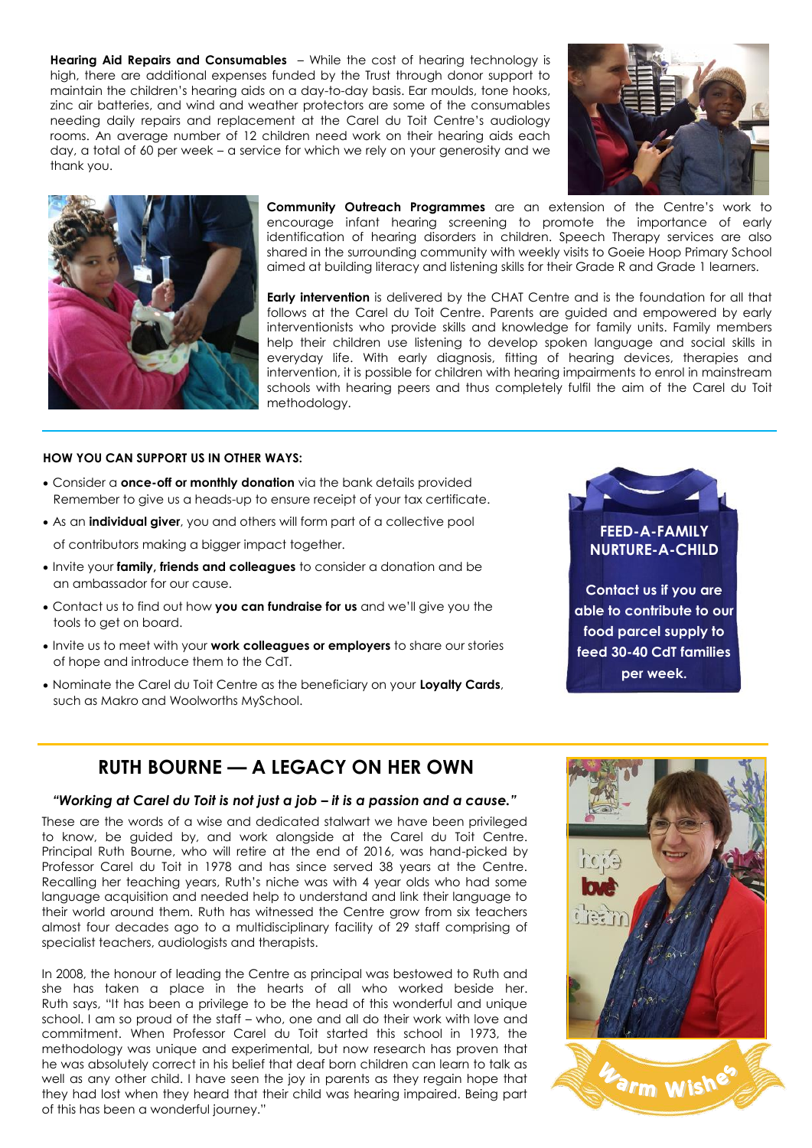**Hearing Aid Repairs and Consumables** – While the cost of hearing technology is high, there are additional expenses funded by the Trust through donor support to maintain the children's hearing aids on a day-to-day basis. Ear moulds, tone hooks, zinc air batteries, and wind and weather protectors are some of the consumables needing daily repairs and replacement at the Carel du Toit Centre's audiology rooms. An average number of 12 children need work on their hearing aids each day, a total of 60 per week – a service for which we rely on your generosity and we thank you.





**Community Outreach Programmes** are an extension of the Centre's work to encourage infant hearing screening to promote the importance of early identification of hearing disorders in children. Speech Therapy services are also shared in the surrounding community with weekly visits to Goeie Hoop Primary School aimed at building literacy and listening skills for their Grade R and Grade 1 learners.

**Early intervention** is delivered by the CHAT Centre and is the foundation for all that follows at the Carel du Toit Centre. Parents are guided and empowered by early interventionists who provide skills and knowledge for family units. Family members help their children use listening to develop spoken language and social skills in everyday life. With early diagnosis, fitting of hearing devices, therapies and intervention, it is possible for children with hearing impairments to enrol in mainstream schools with hearing peers and thus completely fulfil the aim of the Carel du Toit methodology.

#### **HOW YOU CAN SUPPORT US IN OTHER WAYS:**

- Consider a **once-off or monthly donation** via the bank details provided Remember to give us a heads-up to ensure receipt of your tax certificate.
- As an **individual giver**, you and others will form part of a collective pool of contributors making a bigger impact together.
- Invite your **family, friends and colleagues** to consider a donation and be an ambassador for our cause.
- **Contact us to find out how you can fundraise for us** and we'll give you the tools to get on board.
- Invite us to meet with your **work colleagues or employers** to share our stories of hope and introduce them to the CdT.
- Nominate the Carel du Toit Centre as the beneficiary on your **Loyalty Cards**, such as Makro and Woolworths MySchool.

### **FEED-A-FAMILY NURTURE-A-CHILD Contact us if you are able to contribute to our food parcel supply to feed 30-40 CdT families**

**per week.**

### **RUTH BOURNE — A LEGACY ON HER OWN**

#### *"Working at Carel du Toit is not just a job – it is a passion and a cause."*

These are the words of a wise and dedicated stalwart we have been privileged to know, be guided by, and work alongside at the Carel du Toit Centre. Principal Ruth Bourne, who will retire at the end of 2016, was hand-picked by Professor Carel du Toit in 1978 and has since served 38 years at the Centre. Recalling her teaching years, Ruth's niche was with 4 year olds who had some language acquisition and needed help to understand and link their language to their world around them. Ruth has witnessed the Centre grow from six teachers almost four decades ago to a multidisciplinary facility of 29 staff comprising of specialist teachers, audiologists and therapists.

In 2008, the honour of leading the Centre as principal was bestowed to Ruth and she has taken a place in the hearts of all who worked beside her. Ruth says, "It has been a privilege to be the head of this wonderful and unique school. I am so proud of the staff – who, one and all do their work with love and commitment. When Professor Carel du Toit started this school in 1973, the methodology was unique and experimental, but now research has proven that he was absolutely correct in his belief that deaf born children can learn to talk as well as any other child. I have seen the joy in parents as they regain hope that they had lost when they heard that their child was hearing impaired. Being part of this has been a wonderful journey."